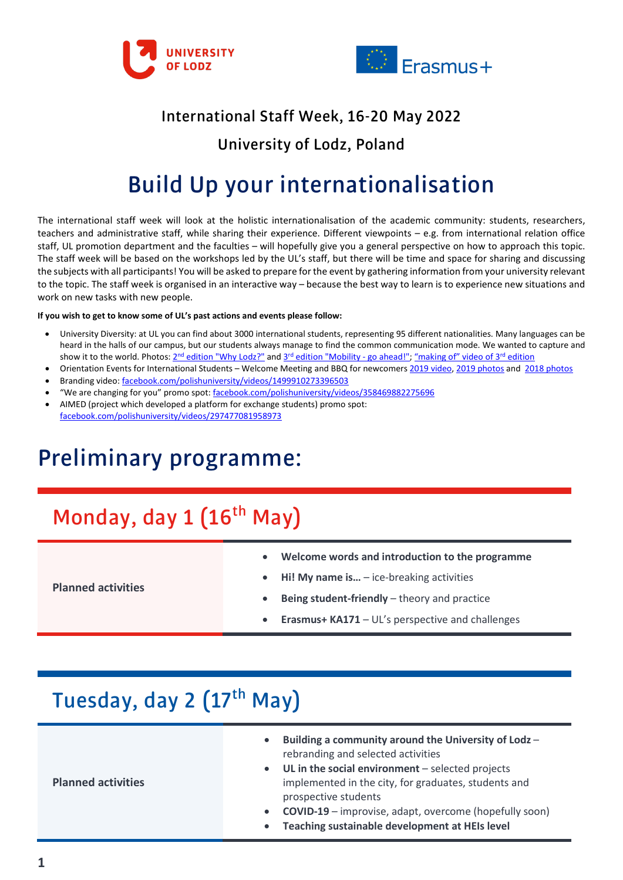



#### International Staff Week, 16-20 May 2022

#### University of Lodz, Poland

## Build Up your internationalisation

The international staff week will look at the holistic internationalisation of the academic community: students, researchers, teachers and administrative staff, while sharing their experience. Different viewpoints – e.g. from international relation office staff, UL promotion department and the faculties – will hopefully give you a general perspective on how to approach this topic. The staff week will be based on the workshops led by the UL's staff, but there will be time and space for sharing and discussing the subjects with all participants! You will be asked to prepare for the event by gathering information from your university relevant to the topic. The staff week is organised in an interactive way – because the best way to learn is to experience new situations and work on new tasks with new people.

#### **If you wish to get to know some of UL's past actions and events please follow:**

- University Diversity: at UL you can find about 3000 international students, representing 95 different nationalities. Many languages can be heard in the halls of our campus, but our students always manage to find the common communication mode. We wanted to capture and show it to the world. Photos: 2<sup>nd</sup> [edition "Why Lodz?"](https://www.flickr.com/photos/promocja_ul/albums/72157692024392424) and 3<sup>rd</sup> [edition "Mobility -](https://www.flickr.com/photos/promocja_ul/sets/72157676538718528) go ahead!"; "making of" video of 3<sup>rd</sup> edition
- Orientation Events for International Students Welcome Meeting and BBQ for newcomers [2019 video,](https://www.facebook.com/polishuniversity/videos/1149461038776645) [2019 photos](https://www.flickr.com/photos/promocja_ul/albums/72157711248059942) and [2018 photos](https://www.flickr.com/photos/promocja_ul/sets/72157700708992241)
- Branding video[: facebook.com/polishuniversity/videos/1499910273396503](https://www.facebook.com/polishuniversity/videos/1499910273396503/)
- "We are changing for you" promo spot: [facebook.com/polishuniversity/videos/358469882275696](https://www.facebook.com/polishuniversity/videos/358469882275696)
- AIMED (project which developed a platform for exchange students) promo spot: [facebook.com/polishuniversity/videos/297477081958973](https://www.facebook.com/polishuniversity/videos/297477081958973)

#### Preliminary programme:

# Monday, day  $1$  ( $16<sup>th</sup>$  May)

|                           | Welcome words and introduction to the programme<br>$\bullet$         |
|---------------------------|----------------------------------------------------------------------|
| <b>Planned activities</b> | $\bullet$ Hi! My name is - ice-breaking activities                   |
|                           | $\bullet$ Being student-friendly – theory and practice               |
|                           | <b>Erasmus+ KA171</b> – UL's perspective and challenges<br>$\bullet$ |

### Tuesday, day 2 (17<sup>th</sup> May)

**Planned activities**

- **Building a community around the University of Lodz**  rebranding and selected activities
- **UL in the social environment**  selected projects implemented in the city, for graduates, students and prospective students
- **COVID-19**  improvise, adapt, overcome (hopefully soon)
- **Teaching sustainable development at HEIs level**